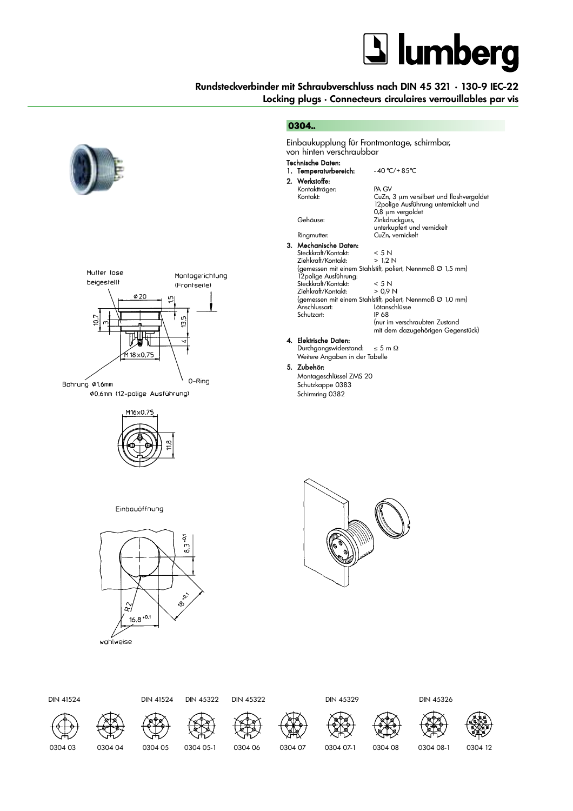## **J** lumberg

### **Rundsteckverbinder mit Schraubverschluss nach DIN 45 321 • 130-9 IEC-22 Locking plugs • Connecteurs circulaires verrouillables par vis**